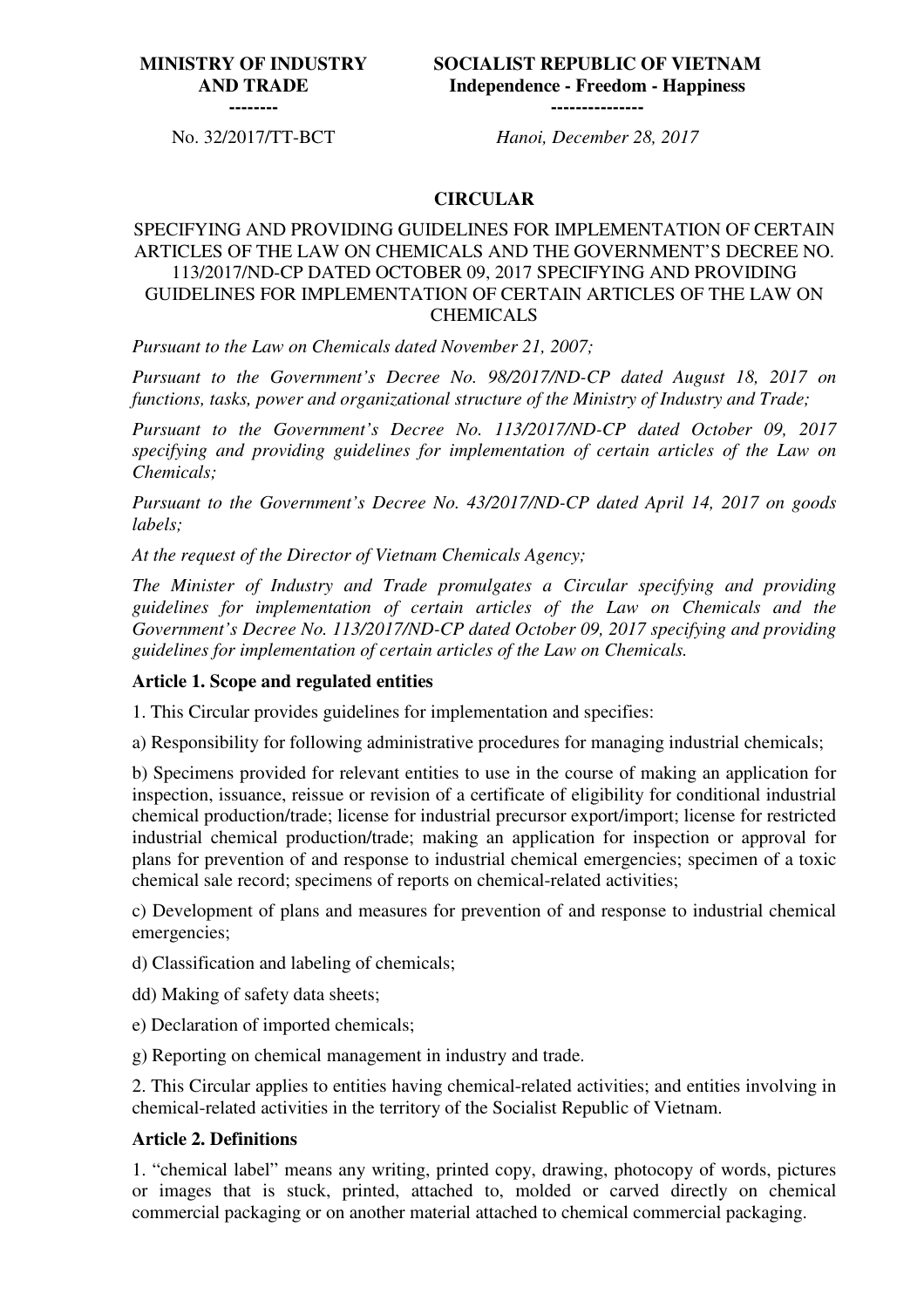## **MINISTRY OF INDUSTRY AND TRADE**

**SOCIALIST REPUBLIC OF VIETNAM Independence - Freedom - Happiness ---------------**

**--------**

No. 32/2017/TT-BCT *Hanoi, December 28, 2017*

### **CIRCULAR**

## SPECIFYING AND PROVIDING GUIDELINES FOR IMPLEMENTATION OF CERTAIN ARTICLES OF THE LAW ON CHEMICALS AND THE GOVERNMENT'S DECREE NO. 113/2017/ND-CP DATED OCTOBER 09, 2017 SPECIFYING AND PROVIDING GUIDELINES FOR IMPLEMENTATION OF CERTAIN ARTICLES OF THE LAW ON CHEMICALS

*Pursuant to the Law on Chemicals dated November 21, 2007;*

*Pursuant to the Government's Decree No. 98/2017/ND-CP dated August 18, 2017 on functions, tasks, power and organizational structure of the Ministry of Industry and Trade;*

*Pursuant to the Government's Decree No. 113/2017/ND-CP dated October 09, 2017 specifying and providing guidelines for implementation of certain articles of the Law on Chemicals;*

*Pursuant to the Government's Decree No. 43/2017/ND-CP dated April 14, 2017 on goods labels;*

*At the request of the Director of Vietnam Chemicals Agency;*

*The Minister of Industry and Trade promulgates a Circular specifying and providing guidelines for implementation of certain articles of the Law on Chemicals and the Government's Decree No. 113/2017/ND-CP dated October 09, 2017 specifying and providing guidelines for implementation of certain articles of the Law on Chemicals.*

### **Article 1. Scope and regulated entities**

1. This Circular provides guidelines for implementation and specifies:

a) Responsibility for following administrative procedures for managing industrial chemicals;

b) Specimens provided for relevant entities to use in the course of making an application for inspection, issuance, reissue or revision of a certificate of eligibility for conditional industrial chemical production/trade; license for industrial precursor export/import; license for restricted industrial chemical production/trade; making an application for inspection or approval for plans for prevention of and response to industrial chemical emergencies; specimen of a toxic chemical sale record; specimens of reports on chemical-related activities;

c) Development of plans and measures for prevention of and response to industrial chemical emergencies;

d) Classification and labeling of chemicals;

- dd) Making of safety data sheets;
- e) Declaration of imported chemicals;
- g) Reporting on chemical management in industry and trade.

2. This Circular applies to entities having chemical-related activities; and entities involving in chemical-related activities in the territory of the Socialist Republic of Vietnam.

### **Article 2. Definitions**

1. "chemical label" means any writing, printed copy, drawing, photocopy of words, pictures or images that is stuck, printed, attached to, molded or carved directly on chemical commercial packaging or on another material attached to chemical commercial packaging.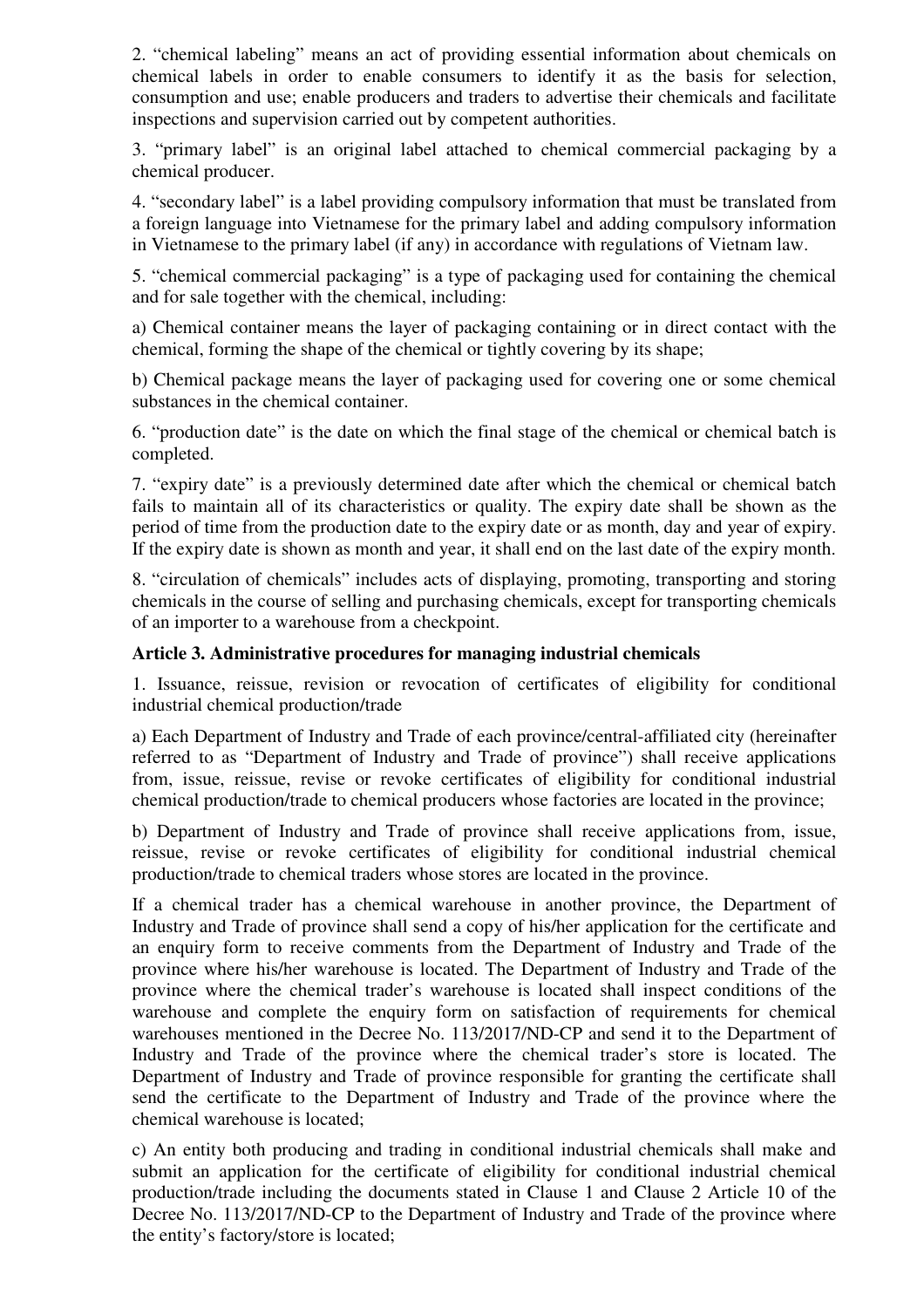2. "chemical labeling" means an act of providing essential information about chemicals on chemical labels in order to enable consumers to identify it as the basis for selection, consumption and use; enable producers and traders to advertise their chemicals and facilitate inspections and supervision carried out by competent authorities.

3. "primary label" is an original label attached to chemical commercial packaging by a chemical producer.

4. "secondary label" is a label providing compulsory information that must be translated from a foreign language into Vietnamese for the primary label and adding compulsory information in Vietnamese to the primary label (if any) in accordance with regulations of Vietnam law.

5. "chemical commercial packaging" is a type of packaging used for containing the chemical and for sale together with the chemical, including:

a) Chemical container means the layer of packaging containing or in direct contact with the chemical, forming the shape of the chemical or tightly covering by its shape;

b) Chemical package means the layer of packaging used for covering one or some chemical substances in the chemical container.

6. "production date" is the date on which the final stage of the chemical or chemical batch is completed.

7. "expiry date" is a previously determined date after which the chemical or chemical batch fails to maintain all of its characteristics or quality. The expiry date shall be shown as the period of time from the production date to the expiry date or as month, day and year of expiry. If the expiry date is shown as month and year, it shall end on the last date of the expiry month.

8. "circulation of chemicals" includes acts of displaying, promoting, transporting and storing chemicals in the course of selling and purchasing chemicals, except for transporting chemicals of an importer to a warehouse from a checkpoint.

### **Article 3. Administrative procedures for managing industrial chemicals**

1. Issuance, reissue, revision or revocation of certificates of eligibility for conditional industrial chemical production/trade

a) Each Department of Industry and Trade of each province/central-affiliated city (hereinafter referred to as "Department of Industry and Trade of province") shall receive applications from, issue, reissue, revise or revoke certificates of eligibility for conditional industrial chemical production/trade to chemical producers whose factories are located in the province;

b) Department of Industry and Trade of province shall receive applications from, issue, reissue, revise or revoke certificates of eligibility for conditional industrial chemical production/trade to chemical traders whose stores are located in the province.

If a chemical trader has a chemical warehouse in another province, the Department of Industry and Trade of province shall send a copy of his/her application for the certificate and an enquiry form to receive comments from the Department of Industry and Trade of the province where his/her warehouse is located. The Department of Industry and Trade of the province where the chemical trader's warehouse is located shall inspect conditions of the warehouse and complete the enquiry form on satisfaction of requirements for chemical warehouses mentioned in the Decree No. 113/2017/ND-CP and send it to the Department of Industry and Trade of the province where the chemical trader's store is located. The Department of Industry and Trade of province responsible for granting the certificate shall send the certificate to the Department of Industry and Trade of the province where the chemical warehouse is located;

c) An entity both producing and trading in conditional industrial chemicals shall make and submit an application for the certificate of eligibility for conditional industrial chemical production/trade including the documents stated in Clause 1 and Clause 2 Article 10 of the Decree No. 113/2017/ND-CP to the Department of Industry and Trade of the province where the entity's factory/store is located;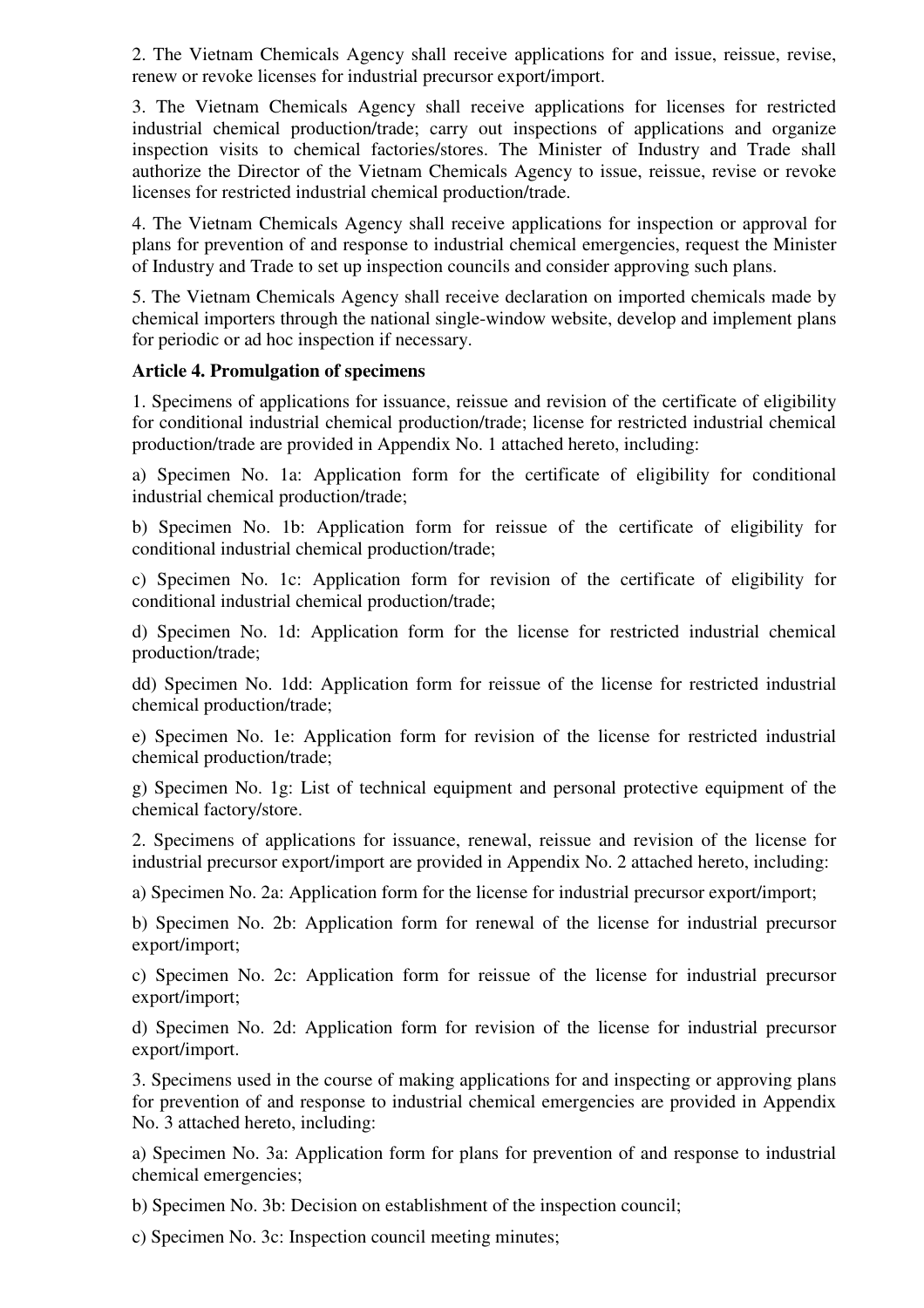2. The Vietnam Chemicals Agency shall receive applications for and issue, reissue, revise, renew or revoke licenses for industrial precursor export/import.

3. The Vietnam Chemicals Agency shall receive applications for licenses for restricted industrial chemical production/trade; carry out inspections of applications and organize inspection visits to chemical factories/stores. The Minister of Industry and Trade shall authorize the Director of the Vietnam Chemicals Agency to issue, reissue, revise or revoke licenses for restricted industrial chemical production/trade.

4. The Vietnam Chemicals Agency shall receive applications for inspection or approval for plans for prevention of and response to industrial chemical emergencies, request the Minister of Industry and Trade to set up inspection councils and consider approving such plans.

5. The Vietnam Chemicals Agency shall receive declaration on imported chemicals made by chemical importers through the national single-window website, develop and implement plans for periodic or ad hoc inspection if necessary.

### **Article 4. Promulgation of specimens**

1. Specimens of applications for issuance, reissue and revision of the certificate of eligibility for conditional industrial chemical production/trade; license for restricted industrial chemical production/trade are provided in Appendix No. 1 attached hereto, including:

a) Specimen No. 1a: Application form for the certificate of eligibility for conditional industrial chemical production/trade;

b) Specimen No. 1b: Application form for reissue of the certificate of eligibility for conditional industrial chemical production/trade;

c) Specimen No. 1c: Application form for revision of the certificate of eligibility for conditional industrial chemical production/trade;

d) Specimen No. 1d: Application form for the license for restricted industrial chemical production/trade;

dd) Specimen No. 1dd: Application form for reissue of the license for restricted industrial chemical production/trade;

e) Specimen No. 1e: Application form for revision of the license for restricted industrial chemical production/trade;

g) Specimen No. 1g: List of technical equipment and personal protective equipment of the chemical factory/store.

2. Specimens of applications for issuance, renewal, reissue and revision of the license for industrial precursor export/import are provided in Appendix No. 2 attached hereto, including:

a) Specimen No. 2a: Application form for the license for industrial precursor export/import;

b) Specimen No. 2b: Application form for renewal of the license for industrial precursor export/import;

c) Specimen No. 2c: Application form for reissue of the license for industrial precursor export/import;

d) Specimen No. 2d: Application form for revision of the license for industrial precursor export/import.

3. Specimens used in the course of making applications for and inspecting or approving plans for prevention of and response to industrial chemical emergencies are provided in Appendix No. 3 attached hereto, including:

a) Specimen No. 3a: Application form for plans for prevention of and response to industrial chemical emergencies;

b) Specimen No. 3b: Decision on establishment of the inspection council;

c) Specimen No. 3c: Inspection council meeting minutes;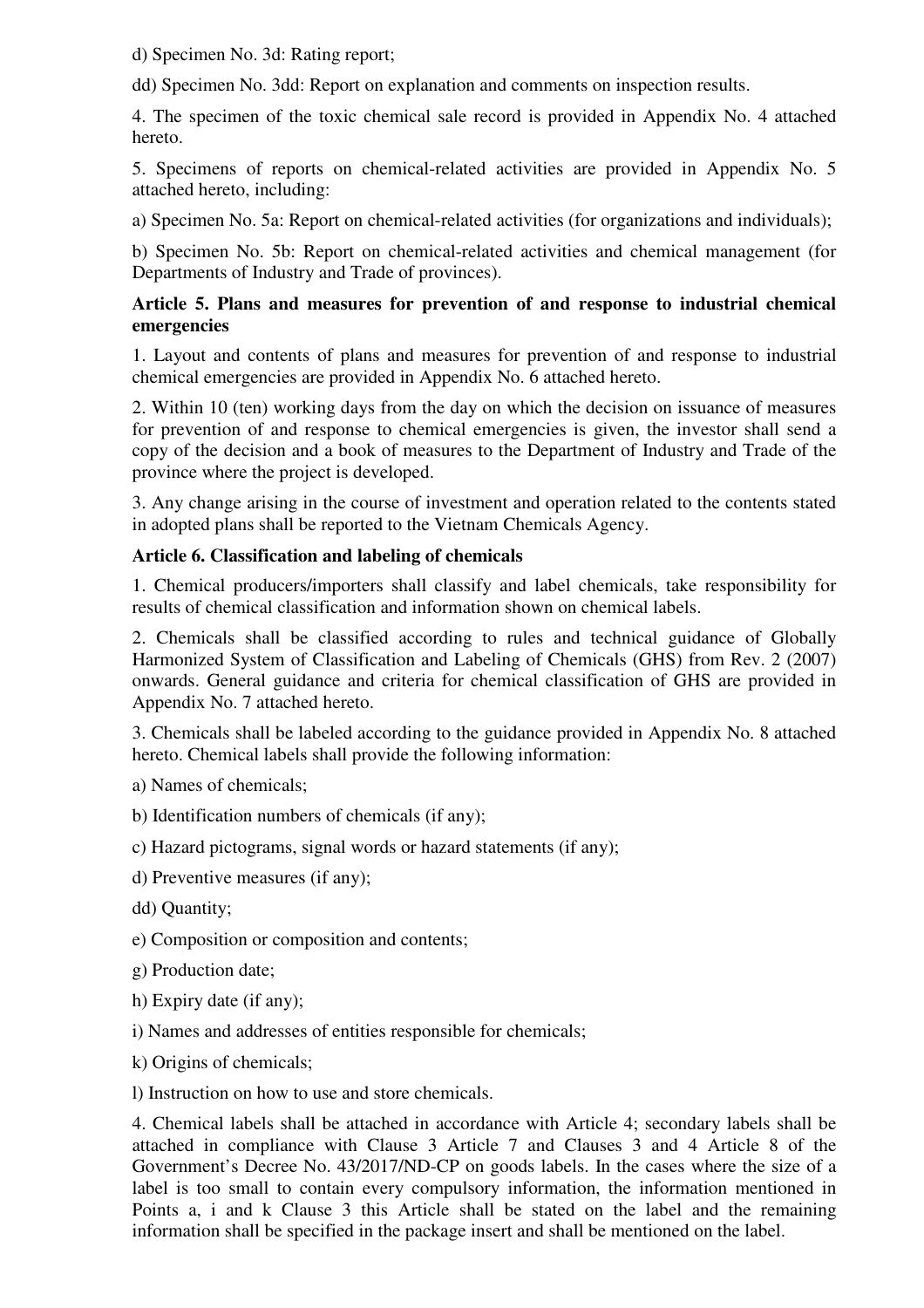d) Specimen No. 3d: Rating report;

dd) Specimen No. 3dd: Report on explanation and comments on inspection results.

4. The specimen of the toxic chemical sale record is provided in Appendix No. 4 attached hereto.

5. Specimens of reports on chemical-related activities are provided in Appendix No. 5 attached hereto, including:

a) Specimen No. 5a: Report on chemical-related activities (for organizations and individuals);

b) Specimen No. 5b: Report on chemical-related activities and chemical management (for Departments of Industry and Trade of provinces).

## **Article 5. Plans and measures for prevention of and response to industrial chemical emergencies**

1. Layout and contents of plans and measures for prevention of and response to industrial chemical emergencies are provided in Appendix No. 6 attached hereto.

2. Within 10 (ten) working days from the day on which the decision on issuance of measures for prevention of and response to chemical emergencies is given, the investor shall send a copy of the decision and a book of measures to the Department of Industry and Trade of the province where the project is developed.

3. Any change arising in the course of investment and operation related to the contents stated in adopted plans shall be reported to the Vietnam Chemicals Agency.

# **Article 6. Classification and labeling of chemicals**

1. Chemical producers/importers shall classify and label chemicals, take responsibility for results of chemical classification and information shown on chemical labels.

2. Chemicals shall be classified according to rules and technical guidance of Globally Harmonized System of Classification and Labeling of Chemicals (GHS) from Rev. 2 (2007) onwards. General guidance and criteria for chemical classification of GHS are provided in Appendix No. 7 attached hereto.

3. Chemicals shall be labeled according to the guidance provided in Appendix No. 8 attached hereto. Chemical labels shall provide the following information:

a) Names of chemicals;

b) Identification numbers of chemicals (if any);

c) Hazard pictograms, signal words or hazard statements (if any);

d) Preventive measures (if any);

dd) Quantity;

e) Composition or composition and contents;

g) Production date;

h) Expiry date (if any);

i) Names and addresses of entities responsible for chemicals;

k) Origins of chemicals;

l) Instruction on how to use and store chemicals.

4. Chemical labels shall be attached in accordance with Article 4; secondary labels shall be attached in compliance with Clause 3 Article 7 and Clauses 3 and 4 Article 8 of the Government's Decree No. 43/2017/ND-CP on goods labels. In the cases where the size of a label is too small to contain every compulsory information, the information mentioned in Points a, i and k Clause 3 this Article shall be stated on the label and the remaining information shall be specified in the package insert and shall be mentioned on the label.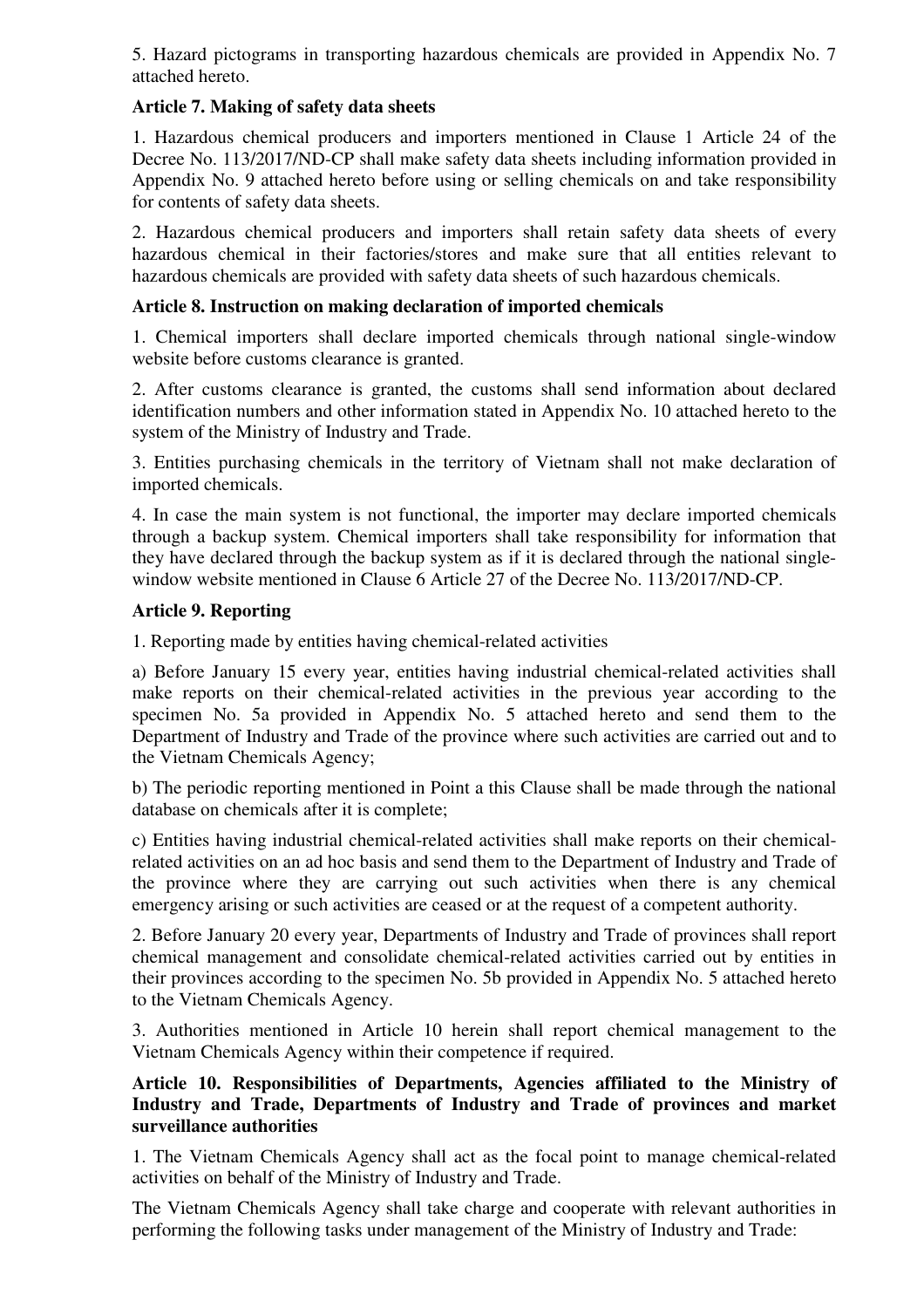5. Hazard pictograms in transporting hazardous chemicals are provided in Appendix No. 7 attached hereto.

## **Article 7. Making of safety data sheets**

1. Hazardous chemical producers and importers mentioned in Clause 1 Article 24 of the Decree No. 113/2017/ND-CP shall make safety data sheets including information provided in Appendix No. 9 attached hereto before using or selling chemicals on and take responsibility for contents of safety data sheets.

2. Hazardous chemical producers and importers shall retain safety data sheets of every hazardous chemical in their factories/stores and make sure that all entities relevant to hazardous chemicals are provided with safety data sheets of such hazardous chemicals.

# **Article 8. Instruction on making declaration of imported chemicals**

1. Chemical importers shall declare imported chemicals through national single-window website before customs clearance is granted.

2. After customs clearance is granted, the customs shall send information about declared identification numbers and other information stated in Appendix No. 10 attached hereto to the system of the Ministry of Industry and Trade.

3. Entities purchasing chemicals in the territory of Vietnam shall not make declaration of imported chemicals.

4. In case the main system is not functional, the importer may declare imported chemicals through a backup system. Chemical importers shall take responsibility for information that they have declared through the backup system as if it is declared through the national singlewindow website mentioned in Clause 6 Article 27 of the Decree No. 113/2017/ND-CP.

# **Article 9. Reporting**

1. Reporting made by entities having chemical-related activities

a) Before January 15 every year, entities having industrial chemical-related activities shall make reports on their chemical-related activities in the previous year according to the specimen No. 5a provided in Appendix No. 5 attached hereto and send them to the Department of Industry and Trade of the province where such activities are carried out and to the Vietnam Chemicals Agency;

b) The periodic reporting mentioned in Point a this Clause shall be made through the national database on chemicals after it is complete;

c) Entities having industrial chemical-related activities shall make reports on their chemicalrelated activities on an ad hoc basis and send them to the Department of Industry and Trade of the province where they are carrying out such activities when there is any chemical emergency arising or such activities are ceased or at the request of a competent authority.

2. Before January 20 every year, Departments of Industry and Trade of provinces shall report chemical management and consolidate chemical-related activities carried out by entities in their provinces according to the specimen No. 5b provided in Appendix No. 5 attached hereto to the Vietnam Chemicals Agency.

3. Authorities mentioned in Article 10 herein shall report chemical management to the Vietnam Chemicals Agency within their competence if required.

## **Article 10. Responsibilities of Departments, Agencies affiliated to the Ministry of Industry and Trade, Departments of Industry and Trade of provinces and market surveillance authorities**

1. The Vietnam Chemicals Agency shall act as the focal point to manage chemical-related activities on behalf of the Ministry of Industry and Trade.

The Vietnam Chemicals Agency shall take charge and cooperate with relevant authorities in performing the following tasks under management of the Ministry of Industry and Trade: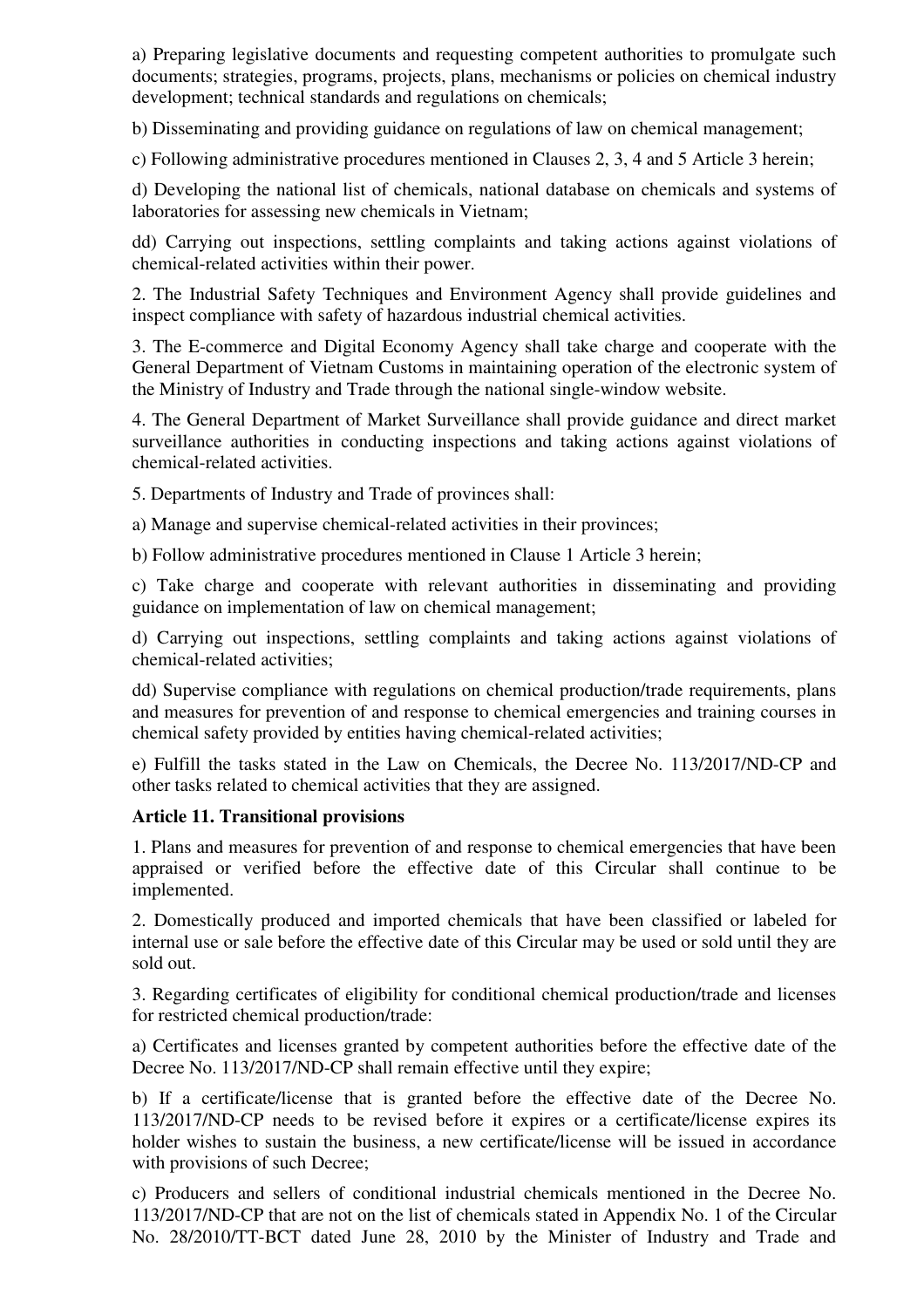a) Preparing legislative documents and requesting competent authorities to promulgate such documents; strategies, programs, projects, plans, mechanisms or policies on chemical industry development; technical standards and regulations on chemicals;

b) Disseminating and providing guidance on regulations of law on chemical management;

c) Following administrative procedures mentioned in Clauses 2, 3, 4 and 5 Article 3 herein;

d) Developing the national list of chemicals, national database on chemicals and systems of laboratories for assessing new chemicals in Vietnam;

dd) Carrying out inspections, settling complaints and taking actions against violations of chemical-related activities within their power.

2. The Industrial Safety Techniques and Environment Agency shall provide guidelines and inspect compliance with safety of hazardous industrial chemical activities.

3. The E-commerce and Digital Economy Agency shall take charge and cooperate with the General Department of Vietnam Customs in maintaining operation of the electronic system of the Ministry of Industry and Trade through the national single-window website.

4. The General Department of Market Surveillance shall provide guidance and direct market surveillance authorities in conducting inspections and taking actions against violations of chemical-related activities.

5. Departments of Industry and Trade of provinces shall:

a) Manage and supervise chemical-related activities in their provinces;

b) Follow administrative procedures mentioned in Clause 1 Article 3 herein;

c) Take charge and cooperate with relevant authorities in disseminating and providing guidance on implementation of law on chemical management;

d) Carrying out inspections, settling complaints and taking actions against violations of chemical-related activities;

dd) Supervise compliance with regulations on chemical production/trade requirements, plans and measures for prevention of and response to chemical emergencies and training courses in chemical safety provided by entities having chemical-related activities;

e) Fulfill the tasks stated in the Law on Chemicals, the Decree No. 113/2017/ND-CP and other tasks related to chemical activities that they are assigned.

### **Article 11. Transitional provisions**

1. Plans and measures for prevention of and response to chemical emergencies that have been appraised or verified before the effective date of this Circular shall continue to be implemented.

2. Domestically produced and imported chemicals that have been classified or labeled for internal use or sale before the effective date of this Circular may be used or sold until they are sold out.

3. Regarding certificates of eligibility for conditional chemical production/trade and licenses for restricted chemical production/trade:

a) Certificates and licenses granted by competent authorities before the effective date of the Decree No. 113/2017/ND-CP shall remain effective until they expire;

b) If a certificate/license that is granted before the effective date of the Decree No. 113/2017/ND-CP needs to be revised before it expires or a certificate/license expires its holder wishes to sustain the business, a new certificate/license will be issued in accordance with provisions of such Decree;

c) Producers and sellers of conditional industrial chemicals mentioned in the Decree No. 113/2017/ND-CP that are not on the list of chemicals stated in Appendix No. 1 of the Circular No. 28/2010/TT-BCT dated June 28, 2010 by the Minister of Industry and Trade and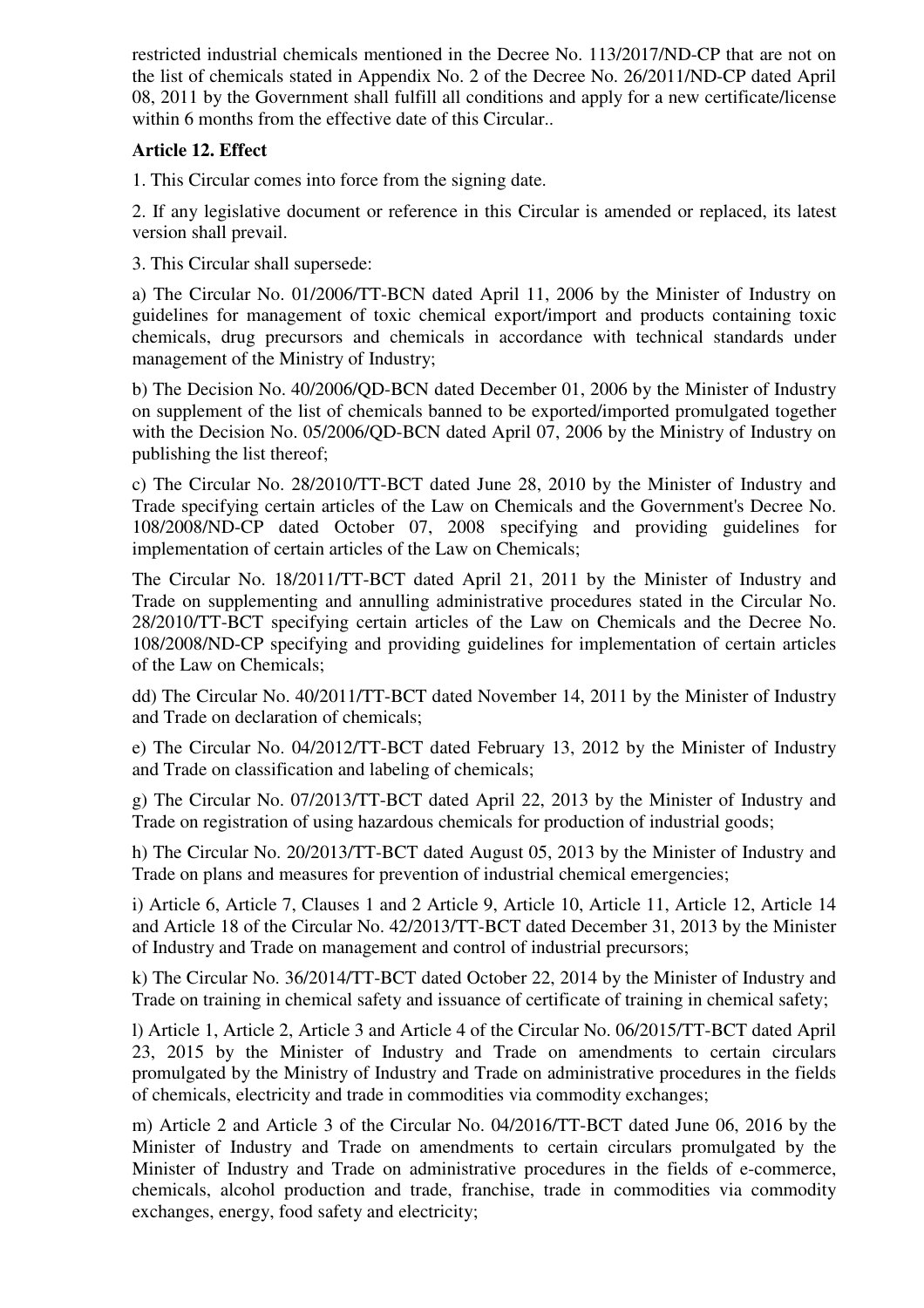restricted industrial chemicals mentioned in the Decree No. 113/2017/ND-CP that are not on the list of chemicals stated in Appendix No. 2 of the Decree No. 26/2011/ND-CP dated April 08, 2011 by the Government shall fulfill all conditions and apply for a new certificate/license within 6 months from the effective date of this Circular..

# **Article 12. Effect**

1. This Circular comes into force from the signing date.

2. If any legislative document or reference in this Circular is amended or replaced, its latest version shall prevail.

3. This Circular shall supersede:

a) The Circular No. 01/2006/TT-BCN dated April 11, 2006 by the Minister of Industry on guidelines for management of toxic chemical export/import and products containing toxic chemicals, drug precursors and chemicals in accordance with technical standards under management of the Ministry of Industry;

b) The Decision No. 40/2006/QD-BCN dated December 01, 2006 by the Minister of Industry on supplement of the list of chemicals banned to be exported/imported promulgated together with the Decision No. 05/2006/QD-BCN dated April 07, 2006 by the Ministry of Industry on publishing the list thereof;

c) The Circular No. 28/2010/TT-BCT dated June 28, 2010 by the Minister of Industry and Trade specifying certain articles of the Law on Chemicals and the Government's Decree No. 108/2008/ND-CP dated October 07, 2008 specifying and providing guidelines for implementation of certain articles of the Law on Chemicals;

The Circular No. 18/2011/TT-BCT dated April 21, 2011 by the Minister of Industry and Trade on supplementing and annulling administrative procedures stated in the Circular No. 28/2010/TT-BCT specifying certain articles of the Law on Chemicals and the Decree No. 108/2008/ND-CP specifying and providing guidelines for implementation of certain articles of the Law on Chemicals;

dd) The Circular No. 40/2011/TT-BCT dated November 14, 2011 by the Minister of Industry and Trade on declaration of chemicals;

e) The Circular No. 04/2012/TT-BCT dated February 13, 2012 by the Minister of Industry and Trade on classification and labeling of chemicals;

g) The Circular No. 07/2013/TT-BCT dated April 22, 2013 by the Minister of Industry and Trade on registration of using hazardous chemicals for production of industrial goods;

h) The Circular No. 20/2013/TT-BCT dated August 05, 2013 by the Minister of Industry and Trade on plans and measures for prevention of industrial chemical emergencies;

i) Article 6, Article 7, Clauses 1 and 2 Article 9, Article 10, Article 11, Article 12, Article 14 and Article 18 of the Circular No. 42/2013/TT-BCT dated December 31, 2013 by the Minister of Industry and Trade on management and control of industrial precursors;

k) The Circular No. 36/2014/TT-BCT dated October 22, 2014 by the Minister of Industry and Trade on training in chemical safety and issuance of certificate of training in chemical safety;

l) Article 1, Article 2, Article 3 and Article 4 of the Circular No. 06/2015/TT-BCT dated April 23, 2015 by the Minister of Industry and Trade on amendments to certain circulars promulgated by the Ministry of Industry and Trade on administrative procedures in the fields of chemicals, electricity and trade in commodities via commodity exchanges;

m) Article 2 and Article 3 of the Circular No. 04/2016/TT-BCT dated June 06, 2016 by the Minister of Industry and Trade on amendments to certain circulars promulgated by the Minister of Industry and Trade on administrative procedures in the fields of e-commerce, chemicals, alcohol production and trade, franchise, trade in commodities via commodity exchanges, energy, food safety and electricity;